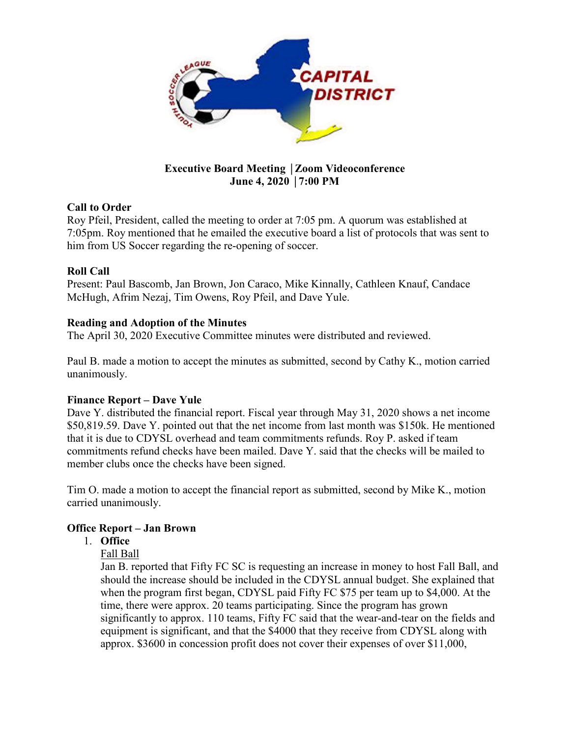

# **Executive Board Meeting** │**Zoom Videoconference June 4, 2020** │**7:00 PM**

# **Call to Order**

Roy Pfeil, President, called the meeting to order at 7:05 pm. A quorum was established at 7:05pm. Roy mentioned that he emailed the executive board a list of protocols that was sent to him from US Soccer regarding the re-opening of soccer.

# **Roll Call**

Present: Paul Bascomb, Jan Brown, Jon Caraco, Mike Kinnally, Cathleen Knauf, Candace McHugh, Afrim Nezaj, Tim Owens, Roy Pfeil, and Dave Yule.

# **Reading and Adoption of the Minutes**

The April 30, 2020 Executive Committee minutes were distributed and reviewed.

Paul B. made a motion to accept the minutes as submitted, second by Cathy K., motion carried unanimously.

## **Finance Report – Dave Yule**

Dave Y. distributed the financial report. Fiscal year through May 31, 2020 shows a net income \$50,819.59. Dave Y. pointed out that the net income from last month was \$150k. He mentioned that it is due to CDYSL overhead and team commitments refunds. Roy P. asked if team commitments refund checks have been mailed. Dave Y. said that the checks will be mailed to member clubs once the checks have been signed.

Tim O. made a motion to accept the financial report as submitted, second by Mike K., motion carried unanimously.

## **Office Report – Jan Brown**

## 1. **Office**

Fall Ball

Jan B. reported that Fifty FC SC is requesting an increase in money to host Fall Ball, and should the increase should be included in the CDYSL annual budget. She explained that when the program first began, CDYSL paid Fifty FC \$75 per team up to \$4,000. At the time, there were approx. 20 teams participating. Since the program has grown significantly to approx. 110 teams, Fifty FC said that the wear-and-tear on the fields and equipment is significant, and that the \$4000 that they receive from CDYSL along with approx. \$3600 in concession profit does not cover their expenses of over \$11,000,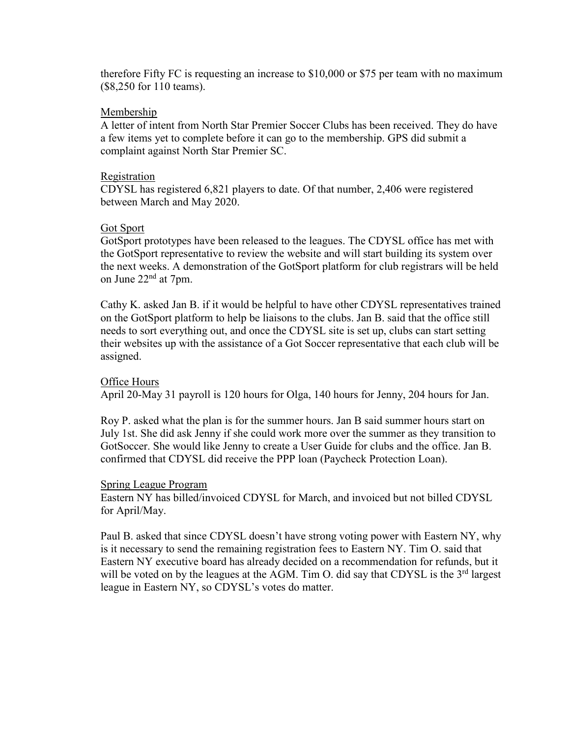therefore Fifty FC is requesting an increase to \$10,000 or \$75 per team with no maximum (\$8,250 for 110 teams).

## Membership

A letter of intent from North Star Premier Soccer Clubs has been received. They do have a few items yet to complete before it can go to the membership. GPS did submit a complaint against North Star Premier SC.

# Registration

CDYSL has registered 6,821 players to date. Of that number, 2,406 were registered between March and May 2020.

# Got Sport

GotSport prototypes have been released to the leagues. The CDYSL office has met with the GotSport representative to review the website and will start building its system over the next weeks. A demonstration of the GotSport platform for club registrars will be held on June  $22<sup>nd</sup>$  at 7pm.

Cathy K. asked Jan B. if it would be helpful to have other CDYSL representatives trained on the GotSport platform to help be liaisons to the clubs. Jan B. said that the office still needs to sort everything out, and once the CDYSL site is set up, clubs can start setting their websites up with the assistance of a Got Soccer representative that each club will be assigned.

# Office Hours

April 20-May 31 payroll is 120 hours for Olga, 140 hours for Jenny, 204 hours for Jan.

Roy P. asked what the plan is for the summer hours. Jan B said summer hours start on July 1st. She did ask Jenny if she could work more over the summer as they transition to GotSoccer. She would like Jenny to create a User Guide for clubs and the office. Jan B. confirmed that CDYSL did receive the PPP loan (Paycheck Protection Loan).

## Spring League Program

Eastern NY has billed/invoiced CDYSL for March, and invoiced but not billed CDYSL for April/May.

Paul B. asked that since CDYSL doesn't have strong voting power with Eastern NY, why is it necessary to send the remaining registration fees to Eastern NY. Tim O. said that Eastern NY executive board has already decided on a recommendation for refunds, but it will be voted on by the leagues at the AGM. Tim O. did say that CDYSL is the  $3<sup>rd</sup>$  largest league in Eastern NY, so CDYSL's votes do matter.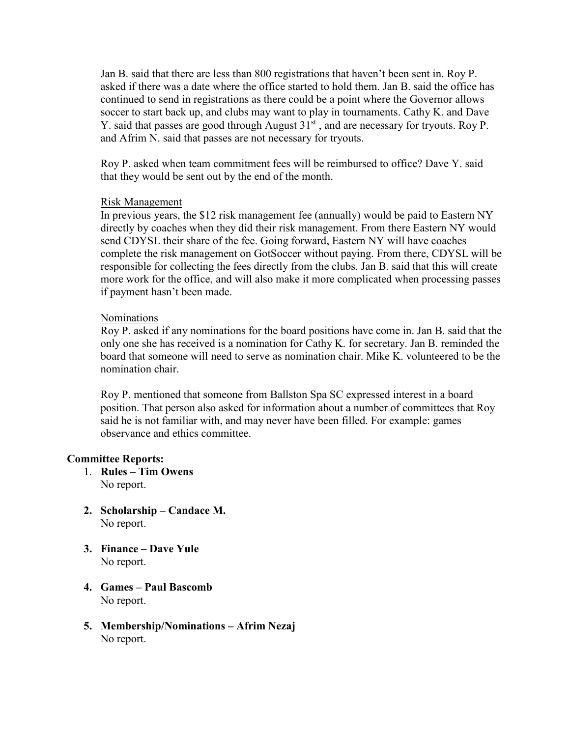Jan B. said that there are less than 800 registrations that haven't been sent in. Roy P. asked if there was a date where the office started to hold them. Jan B. said the office has continued to send in registrations as there could be a point where the Governor allows soccer to start back up, and clubs may want to play in tournaments. Cathy K. and Dave Y. said that passes are good through August  $31<sup>st</sup>$ , and are necessary for tryouts. Roy P. and Afrim N. said that passes are not necessary for tryouts.

Roy P. asked when team commitment fees will be reimbursed to office? Dave Y. said that they would be sent out by the end of the month.

#### Risk Management

In previous years, the \$12 risk management fee (annually) would be paid to Eastern NY directly by coaches when they did their risk management. From there Eastern NY would send CDYSL their share of the fee. Going forward, Eastern NY will have coaches complete the risk management on GotSoccer without paying. From there, CDYSL will be responsible for collecting the fees directly from the clubs. Jan B. said that this will create more work for the office, and will also make it more complicated when processing passes if payment hasn't been made.

### Nominations

Roy P. asked if any nominations for the board positions have come in. Jan B. said that the only one she has received is a nomination for Cathy K. for secretary. Jan B. reminded the board that someone will need to serve as nomination chair. Mike K. volunteered to be the nomination chair.

Roy P. mentioned that someone from Ballston Spa SC expressed interest in a board position. That person also asked for information about a number of committees that Roy said he is not familiar with, and may never have been filled. For example: games observance and ethics committee.

#### **Committee Reports:**

- 1. **Rules – Tim Owens** No report.
- **2. Scholarship – Candace M.** No report.
- **3. Finance – Dave Yule** No report.
- **4. Games – Paul Bascomb** No report.
- **5. Membership/Nominations – Afrim Nezaj** No report.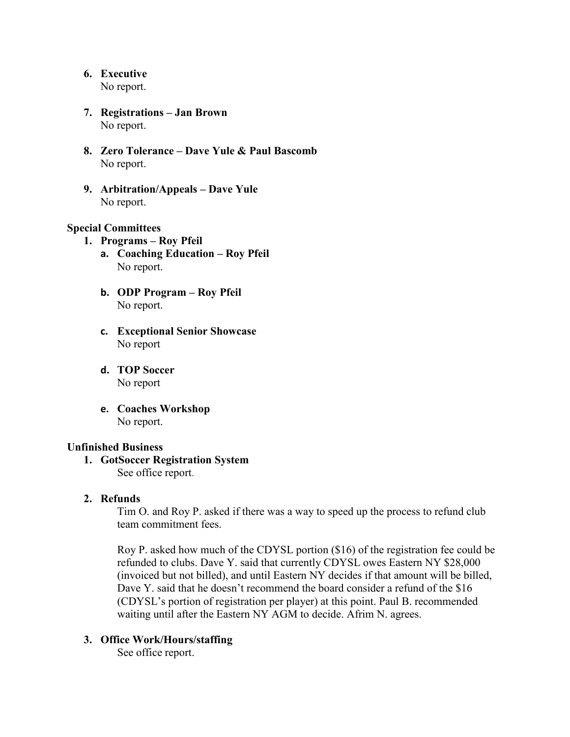**6. Executive** 

No report.

- **7. Registrations – Jan Brown** No report.
- **8. Zero Tolerance – Dave Yule & Paul Bascomb**  No report.
- **9. Arbitration/Appeals – Dave Yule** No report.

## **Special Committees**

- **1. Programs – Roy Pfeil**
	- **a. Coaching Education – Roy Pfeil** No report.
	- **b. ODP Program – Roy Pfeil** No report.
	- **c. Exceptional Senior Showcase** No report
	- **d. TOP Soccer** No report
	- **e. Coaches Workshop** No report.

### **Unfinished Business**

**1. GotSoccer Registration System** See office report.

# **2. Refunds**

Tim O. and Roy P. asked if there was a way to speed up the process to refund club team commitment fees.

Roy P. asked how much of the CDYSL portion (\$16) of the registration fee could be refunded to clubs. Dave Y. said that currently CDYSL owes Eastern NY \$28,000 (invoiced but not billed), and until Eastern NY decides if that amount will be billed, Dave Y. said that he doesn't recommend the board consider a refund of the \$16 (CDYSL's portion of registration per player) at this point. Paul B. recommended waiting until after the Eastern NY AGM to decide. Afrim N. agrees.

# **3. Office Work/Hours/staffing**

See office report.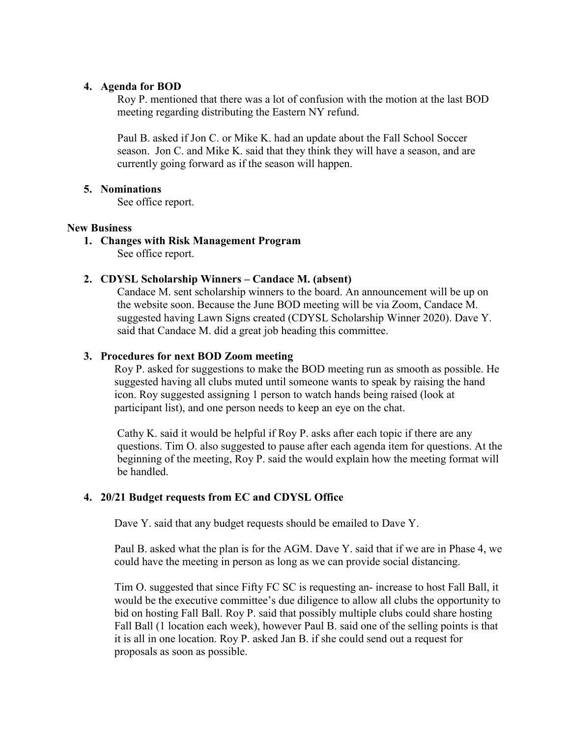### **4. Agenda for BOD**

Roy P. mentioned that there was a lot of confusion with the motion at the last BOD meeting regarding distributing the Eastern NY refund.

Paul B. asked if Jon C. or Mike K. had an update about the Fall School Soccer season. Jon C. and Mike K. said that they think they will have a season, and are currently going forward as if the season will happen.

### **5. Nominations**

See office report.

### **New Business**

**1. Changes with Risk Management Program**

See office report.

### **2. CDYSL Scholarship Winners – Candace M. (absent)**

Candace M. sent scholarship winners to the board. An announcement will be up on the website soon. Because the June BOD meeting will be via Zoom, Candace M. suggested having Lawn Signs created (CDYSL Scholarship Winner 2020). Dave Y. said that Candace M. did a great job heading this committee.

### **3. Procedures for next BOD Zoom meeting**

Roy P. asked for suggestions to make the BOD meeting run as smooth as possible. He suggested having all clubs muted until someone wants to speak by raising the hand icon. Roy suggested assigning 1 person to watch hands being raised (look at participant list), and one person needs to keep an eye on the chat.

Cathy K. said it would be helpful if Roy P. asks after each topic if there are any questions. Tim O. also suggested to pause after each agenda item for questions. At the beginning of the meeting, Roy P. said the would explain how the meeting format will be handled.

# **4. 20/21 Budget requests from EC and CDYSL Office**

Dave Y. said that any budget requests should be emailed to Dave Y.

Paul B. asked what the plan is for the AGM. Dave Y. said that if we are in Phase 4, we could have the meeting in person as long as we can provide social distancing.

Tim O. suggested that since Fifty FC SC is requesting an- increase to host Fall Ball, it would be the executive committee's due diligence to allow all clubs the opportunity to bid on hosting Fall Ball. Roy P. said that possibly multiple clubs could share hosting Fall Ball (1 location each week), however Paul B. said one of the selling points is that it is all in one location. Roy P. asked Jan B. if she could send out a request for proposals as soon as possible.